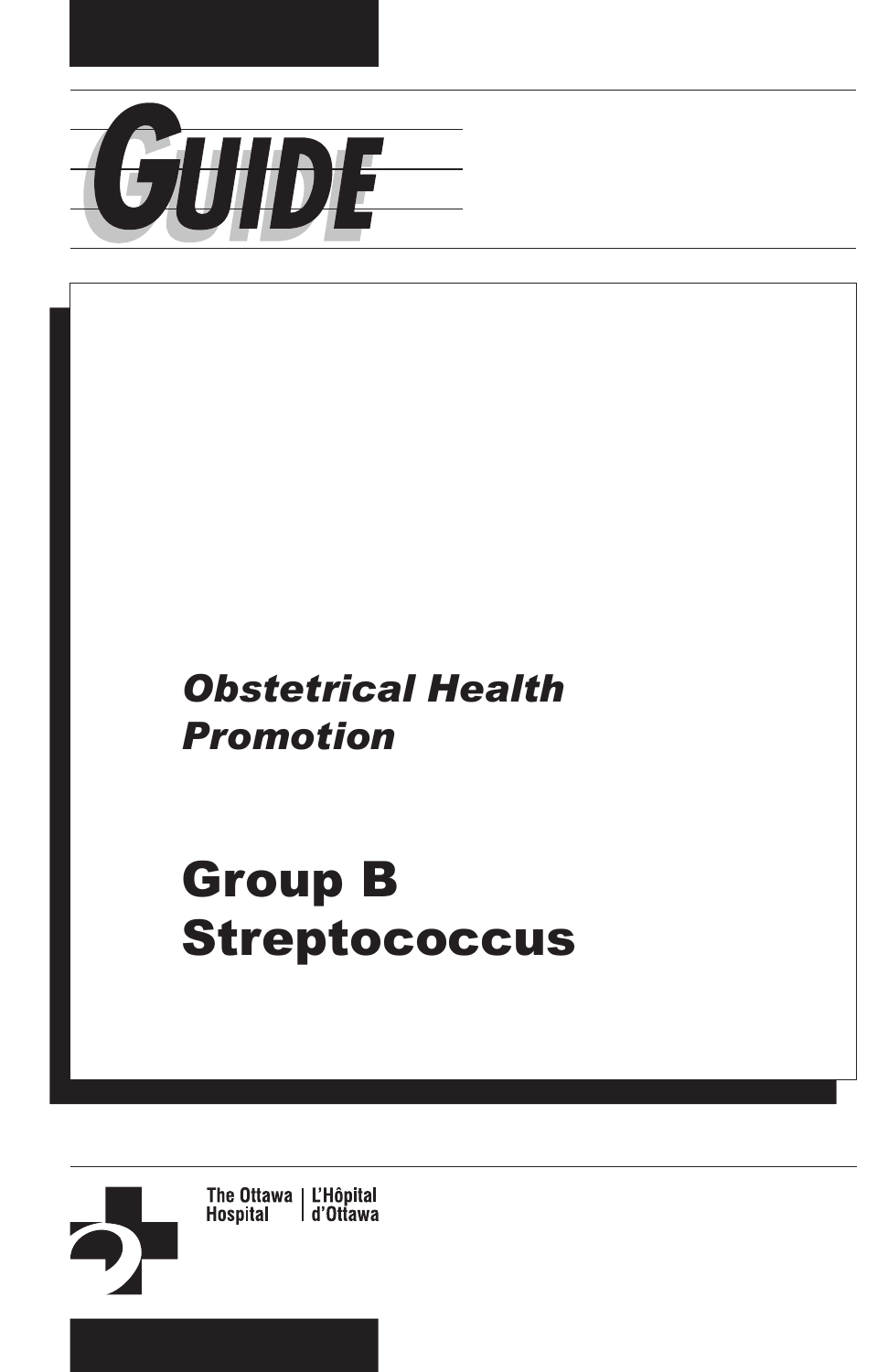

# *Obstetrical Health Promotion*

# Group B **Streptococcus**

The Ottawa | L'Hôpital<br>Hospital | d'Ottawa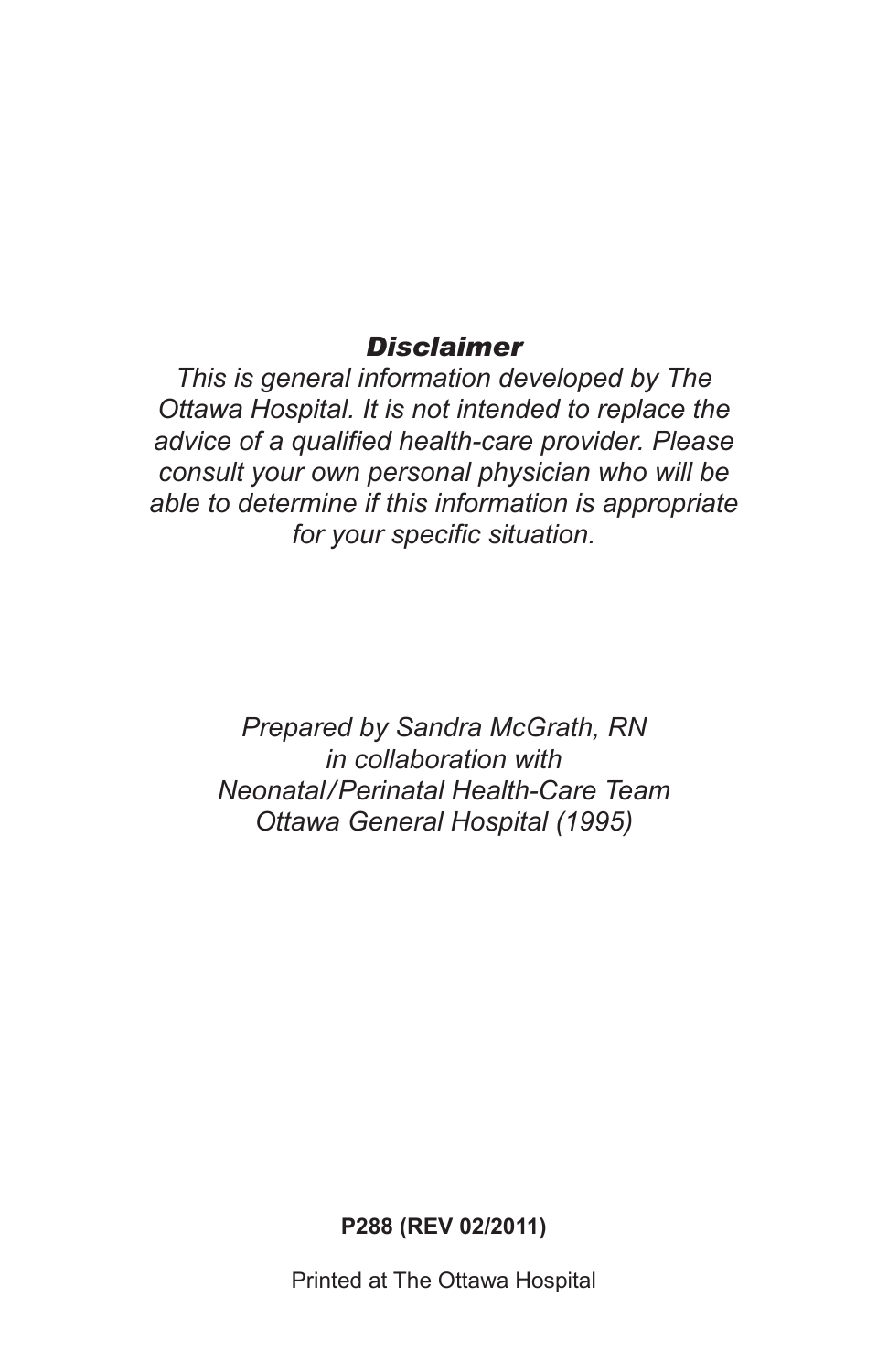#### *Disclaimer*

*This is general information developed by The Ottawa Hospital. It is not intended to replace the advice of a qualified health-care provider. Please consult your own personal physician who will be able to determine if this information is appropriate for your specific situation.*

> *Prepared by Sandra McGrath, RN in collaboration with Neonatal/Perinatal Health-Care Team Ottawa General Hospital (1995)*

> > **P288 (REV 02/2011)**

Printed at The Ottawa Hospital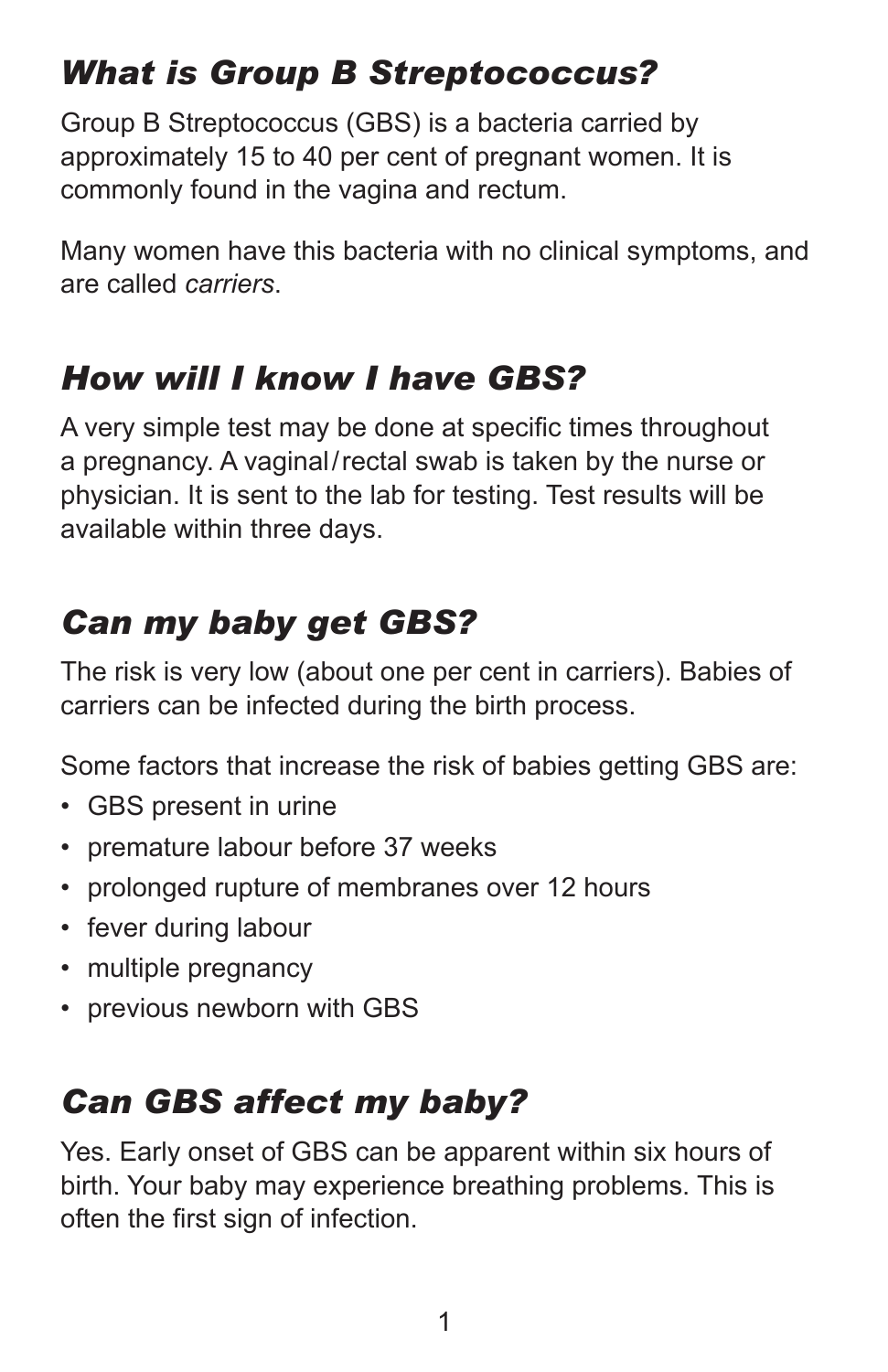# *What is Group B Streptococcus?*

Group B Streptococcus (GBS) is a bacteria carried by approximately 15 to 40 per cent of pregnant women. It is commonly found in the vagina and rectum.

Many women have this bacteria with no clinical symptoms, and are called *carriers*.

#### *How will I know I have GBS?*

A very simple test may be done at specific times throughout a pregnancy. A vaginal/rectal swab is taken by the nurse or physician. It is sent to the lab for testing. Test results will be available within three days.

### *Can my baby get GBS?*

The risk is very low (about one per cent in carriers). Babies of carriers can be infected during the birth process.

Some factors that increase the risk of babies getting GBS are:

- GBS present in urine
- premature labour before 37 weeks
- prolonged rupture of membranes over 12 hours
- fever during labour
- multiple pregnancy
- previous newborn with GBS

#### *Can GBS affect my baby?*

Yes. Early onset of GBS can be apparent within six hours of birth. Your baby may experience breathing problems. This is often the first sign of infection.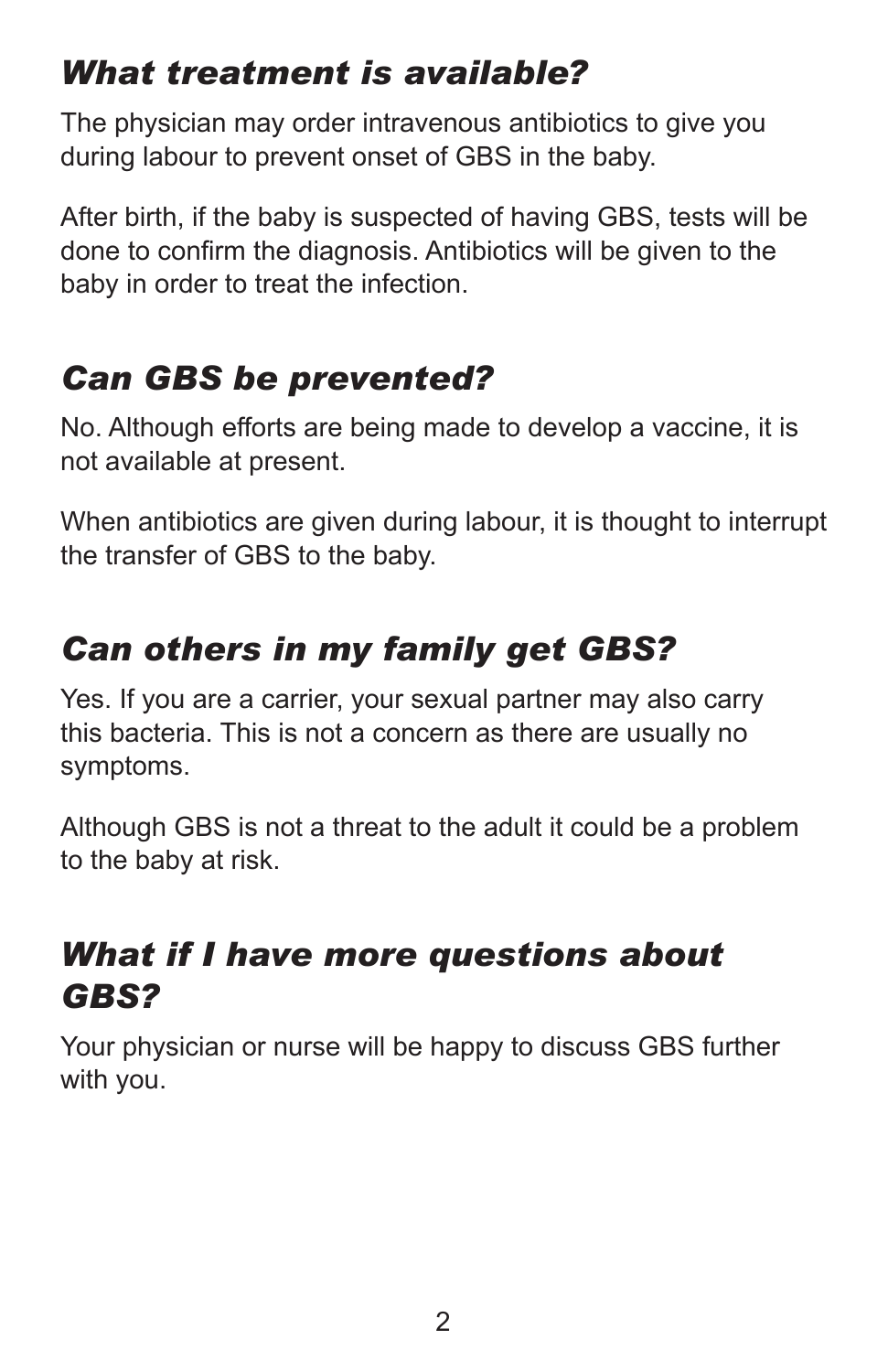### *What treatment is available?*

The physician may order intravenous antibiotics to give you during labour to prevent onset of GBS in the baby.

After birth, if the baby is suspected of having GBS, tests will be done to confirm the diagnosis. Antibiotics will be given to the baby in order to treat the infection.

## *Can GBS be prevented?*

No. Although efforts are being made to develop a vaccine, it is not available at present.

When antibiotics are given during labour, it is thought to interrupt the transfer of GBS to the baby.

# *Can others in my family get GBS?*

Yes. If you are a carrier, your sexual partner may also carry this bacteria. This is not a concern as there are usually no symptoms.

Although GBS is not a threat to the adult it could be a problem to the baby at risk.

#### *What if I have more questions about GBS?*

Your physician or nurse will be happy to discuss GBS further with you.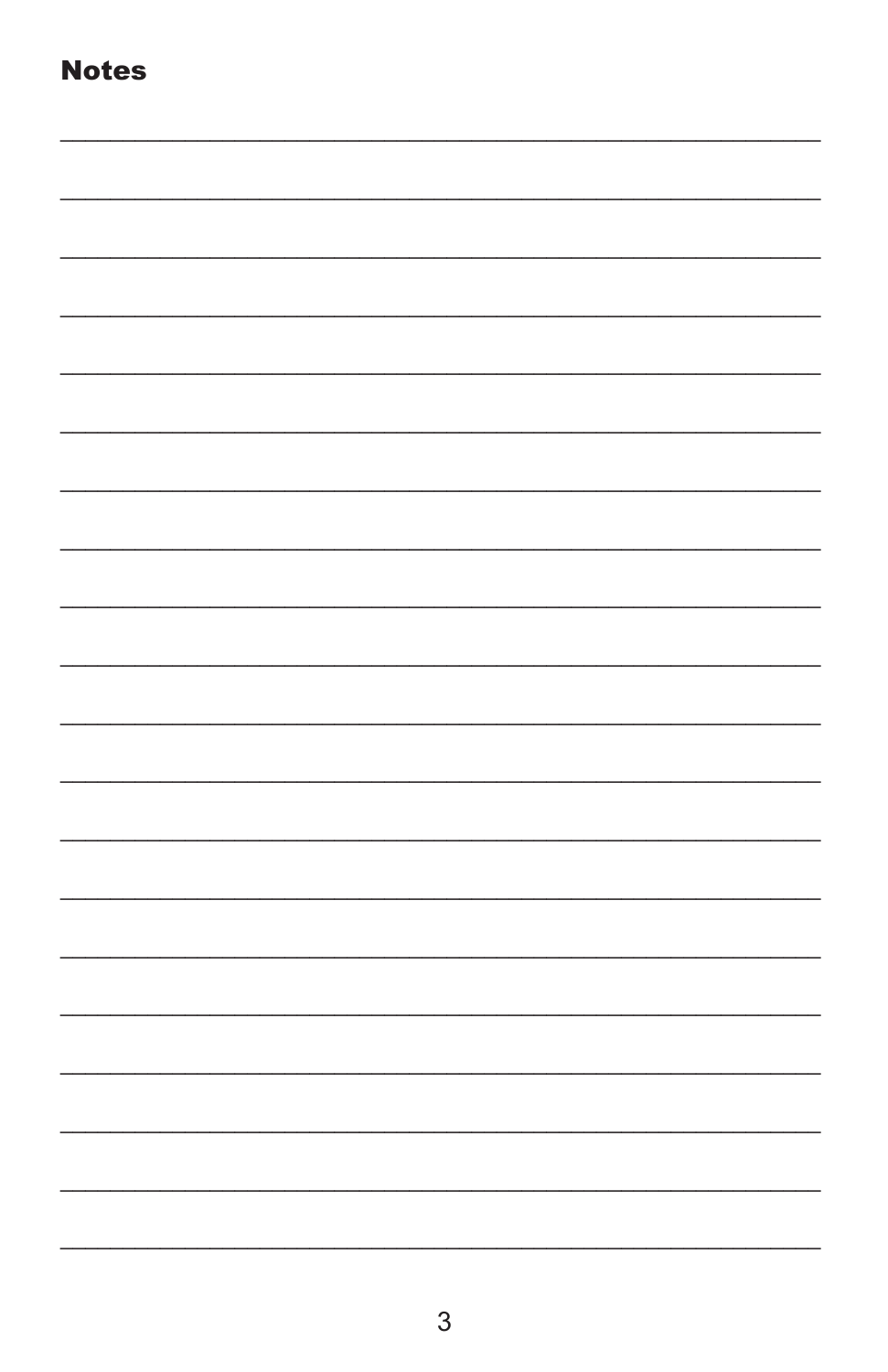| <b>Notes</b> |  |  |  |
|--------------|--|--|--|
|              |  |  |  |
|              |  |  |  |
|              |  |  |  |
|              |  |  |  |
|              |  |  |  |
|              |  |  |  |
|              |  |  |  |
|              |  |  |  |
|              |  |  |  |
|              |  |  |  |
|              |  |  |  |
|              |  |  |  |
|              |  |  |  |
|              |  |  |  |
|              |  |  |  |
|              |  |  |  |
|              |  |  |  |
|              |  |  |  |
|              |  |  |  |
|              |  |  |  |
|              |  |  |  |
|              |  |  |  |
|              |  |  |  |
|              |  |  |  |
|              |  |  |  |
|              |  |  |  |
|              |  |  |  |
|              |  |  |  |
|              |  |  |  |
|              |  |  |  |
|              |  |  |  |